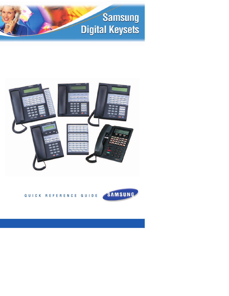# **Samsung Digital Keysets**





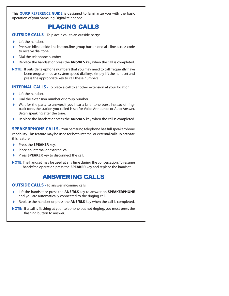This **QUICK REFERENCE GUIDE** is designed to familiarize you with the basic operation of your Samsung Digital telephone.

# PLACING CALLS

**OUTSIDE CALLS -** To place a call to an outside party:

- $\blacktriangleright$  Lift the handset.
- Press an idle outside line button, line group button or dial a line access code to receive dial tone.
- $\triangleright$  Dial the telephone number.
- Replace the handset or press the **ANS/RLS** key when the call is completed.
- **NOTE:** If outside telephone numbers that you may need to call frequently have been programmed as system speed dial keys simply lift the handset and press the appropriate key to call these numbers.

**INTERNAL CALLS** - To place a call to another extension at your location:

- $\blacktriangleright$  Lift the handset.
- Dial the extension number or group number.
- Wait for the party to answer. If you hear a brief tone burst instead of ringback tone, the station you called is set for Voice Announce or Auto Answer. Begin speaking after the tone.
- ▶ Replace the handset or press the **ANS/RLS** key when the call is completed.

**SPEAKERPHONE CALLS** - Your Samsung telephone has full speakerphone capability.This feature may be used for both internal or external calls.To activate this feature:

- **Press the SPEAKER** key.
- Place an internal or external call.
- **Press SPEAKER** key to disconnect the call.

**NOTE:** The handset may be used at any time during the conversation.To resume handsfree operation press the **SPEAKER** key and replace the handset.

## ANSWERING CALLS

**OUTSIDE CALLS -** To answer incoming calls :

- Lift the handset or press the **ANS/RLS** key to answer on **SPEAKERPHONE** and you are automatically connected to the ringing call.
- Replace the handset or press the **ANS/RLS** key when the call is completed.

**NOTE:** If a call is flashing at your telephone but not ringing, you must press the flashing button to answer.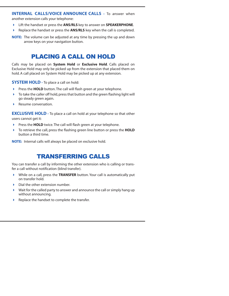### **INTERNAL CALLS/VOICE ANNOUNCE CALLS -** To answer when

another extension calls your telephone:

- Lift the handset or press the **ANS/RLS** key to answer on **SPEAKERPHONE**.
- ▶ Replace the handset or press the **ANS/RLS** key when the call is completed.

### PLACING A CALL ON HOLD

Calls may be placed on **System Hold** or **Exclusive Hold**. Calls placed on Exclusive Hold may only be picked up from the extension that placed them on hold. A call placed on System Hold may be picked up at any extension.

**SYSTEM HOLD** - To place a call on hold:

- **Press the HOLD** button. The call will flash green at your telephone.
- $\triangleright$  To take the caller off hold, press that button and the green flashing light will go steady green again.
- Resume conversation.

**EXCLUSIVE HOLD** - To place a call on hold at your telephone so that other users cannot get it:

- **Press the HOLD** twice. The call will flash green at your telephone.
- To retrieve the call, press the flashing green line button or press the **HOLD** button a third time.

**NOTE:** Internal calls will always be placed on exclusive hold.

### TRANSFERRING CALLS

You can transfer a call by informing the other extension who is calling or transfer a call without notification (blind transfer).

- While on a call, press the **TRANSFER** button. Your call is automatically put on transfer hold.
- Dial the other extension number.
- $\blacktriangleright$  Wait for the called party to answer and announce the call or simply hang up without announcing.
- ▶ Replace the handset to complete the transfer.

**NOTE:** The volume can be adjusted at any time by pressing the up and down arrow keys on your navigation button.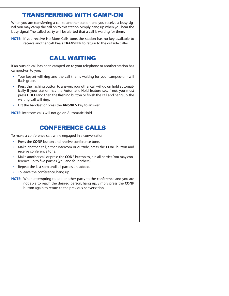### TRANSFERRING WITH CAMP-ON

When you are transferring a call to another station and you receive a busy signal, you may camp the call on to this station. Simply hang up when you hear the busy signal. The called party will be alerted that a call is waiting for them.

**NOTE:** If you receive No More Calls tone, the station has no key available to receive another call. Press **TRANSFER** to return to the outside caller.

### CALL WAITING

If an outside call has been camped-on to your telephone or another station has camped-on to you:

- Your keyset will ring and the call that is waiting for you (camped-on) will flash green.
- $\triangleright$  Press the flashing button to answer; your other call will go on hold automatically if your station has the Automatic Hold feature set. If not, you must press **HOLD** and then the flashing button or finish the call and hang up; the waiting call will ring.
- Lift the handset or press the **ANS/RLS** key to answer.

**NOTE:** Intercom calls will not go on Automatic Hold.

## CONFERENCE CALLS

To make a conference call, while engaged in a conversation:

- Press the **CONF** button and receive conference tone.
- Make another call, either intercom or outside, press the **CONF** button and receive conference tone.
- Make another call or press the **CONF** button to join all parties.You may conference up to five parties (you and four others).
- Repeat the last step until all parties are added.
- To leave the conference, hang up.
- **NOTE:** When attempting to add another party to the conference and you are not able to reach the desired person, hang up. Simply press the **CONF** button again to return to the previous conversation.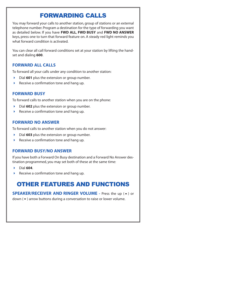# FORWARDING CALLS

You may forward your calls to another station, group of stations or an external telephone number. Program a destination for the type of forwarding you want as detailed below. If you have **FWD ALL**, **FWD BUSY** and **FWD NO ANSWER** keys, press one to turn that forward feature on. A steady red light reminds you what forward condition is activated.

You can clear all call forward conditions set at your station by lifting the handset and dialing **600**.

### **FORWARD ALL CALLS**

To forward all your calls under any condition to another station:

- Dial **601** plus the extension or group number.
- Receive a confirmation tone and hang up.

### **FORWARD BUSY**

To forward calls to another station when you are on the phone:

- Dial **602** plus the extension or group number.
- Receive a confirmation tone and hang up.

### **FORWARD NO ANSWER**

To forward calls to another station when you do not answer:

- Dial **603** plus the extension or group number.
- Receive a confirmation tone and hang up.

### **FORWARD BUSY/NO ANSWER**

If you have both a Forward On Busy destination and a Forward No Answer destination programmed, you may set both of these at the same time:

- Dial **604**.
- $\triangleright$  Receive a confirmation tone and hang up.

# OTHER FEATURES AND FUNCTIONS

**SPEAKER/RECEIVER AND RINGER VOLUME** - Press the up ( $\triangle$ ) or down  $(\blacktriangleright)$  arrow buttons during a conversation to raise or lower volume.